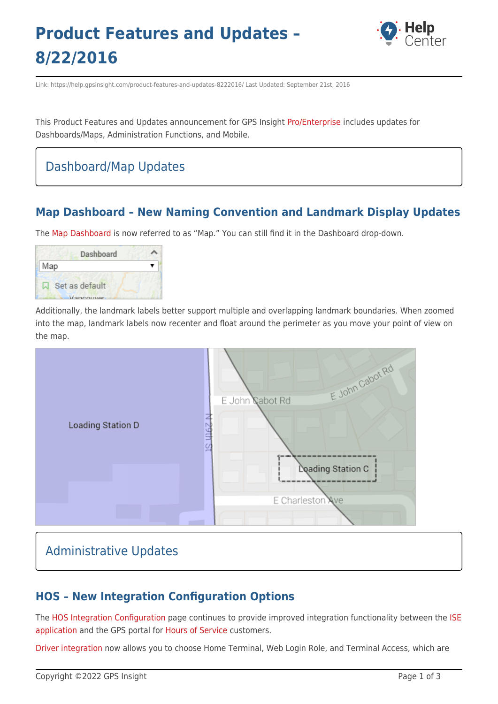# **Product Features and Updates – 8/22/2016**



Link: https://help.gpsinsight.com/product-features-and-updates-8222016/ Last Updated: September 21st, 2016

This Product Features and Updates announcement for GPS Insight [Pro/Enterprise](https://help.gpsinsight.com/looking-to-upgrade/) includes updates for Dashboards/Maps, Administration Functions, and Mobile.

### Dashboard/Map Updates

#### **Map Dashboard – New Naming Convention and Landmark Display Updates**

The [Map Dashboard](https://help.gpsinsight.com/docs/about-maps/using-the-map-dashboard/) is now referred to as "Map." You can still find it in the Dashboard drop-down.



Additionally, the landmark labels better support multiple and overlapping landmark boundaries. When zoomed into the map, landmark labels now recenter and float around the perimeter as you move your point of view on the map.



### Administrative Updates

#### **HOS – New Integration Configuration Options**

The [HOS Integration Configuration](https://help.gpsinsight.com/docs/about-hours-of-service/administrator-reference/configuring-hos-integration/) page continues to provide improved integration functionality between the [ISE](https://gpsi-az-ise-01.gpsinsight.com/eFleetSuite/Login.aspx) [application](https://gpsi-az-ise-01.gpsinsight.com/eFleetSuite/Login.aspx) and the GPS portal for [Hours of Service](https://help.gpsinsight.com/docs/about-hours-of-service/) customers.

[Driver integration](https://help.gpsinsight.com/docs/about-hours-of-service/administrator-reference/configuring-hos-integration/) now allows you to choose Home Terminal, Web Login Role, and Terminal Access, which are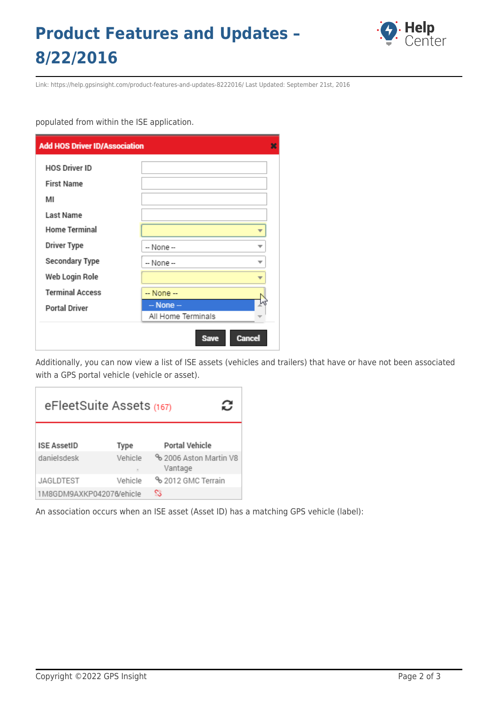## **Product Features and Updates – 8/22/2016**



Link: https://help.gpsinsight.com/product-features-and-updates-8222016/ Last Updated: September 21st, 2016

populated from within the ISE application.

| <b>Add HOS Driver ID/Association</b> |                              |  |
|--------------------------------------|------------------------------|--|
| <b>HOS Driver ID</b>                 |                              |  |
| <b>First Name</b>                    |                              |  |
| мі                                   |                              |  |
| Last Name                            |                              |  |
| <b>Home Terminal</b>                 |                              |  |
| <b>Driver Type</b>                   | -- None --                   |  |
| Secondary Type                       | -- None --<br>▼              |  |
| Web Login Role                       |                              |  |
| <b>Terminal Access</b>               | $-$ None $-$                 |  |
| <b>Portal Driver</b>                 | $-$ None $-$                 |  |
|                                      | All Home Terminals           |  |
|                                      | <b>Cancel</b><br><b>Save</b> |  |

Additionally, you can now view a list of ISE assets (vehicles and trailers) that have or have not been associated with a GPS portal vehicle (vehicle or asset).

| eFleetSuite Assets (167) |         |                                   |  |  |
|--------------------------|---------|-----------------------------------|--|--|
| <b>ISE AssetID</b>       | Type    | Portal Vehicle                    |  |  |
| danielsdesk              | Vehicle | % 2006 Aston Martin V8<br>Vantage |  |  |
| JAGLDTEST                | Vehicle | % 2012 GMC Terrain                |  |  |
| 1M8GDM9AXKP042076/ehicle |         | S                                 |  |  |

An association occurs when an ISE asset (Asset ID) has a matching GPS vehicle (label):